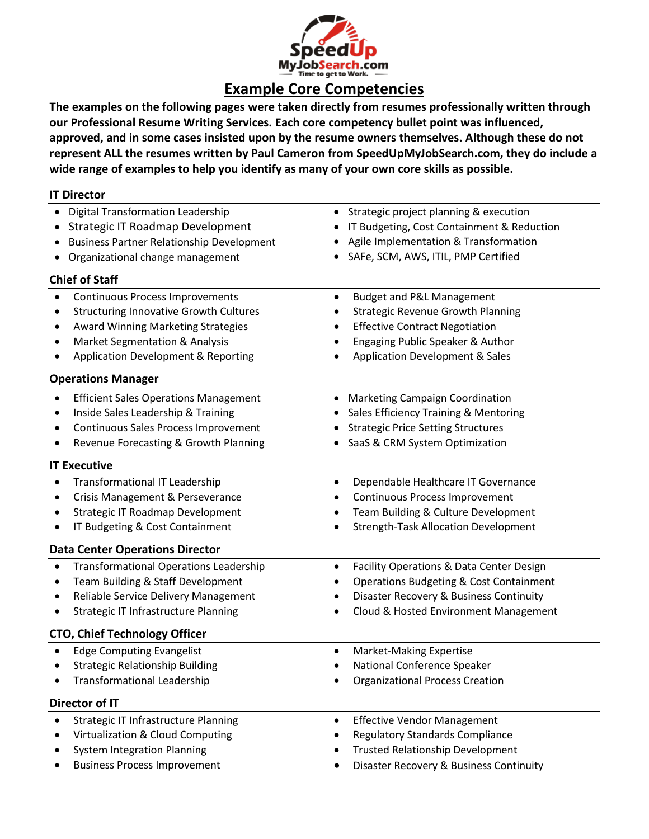

**The examples on the following pages were taken directly from resumes professionally written through our Professional Resume Writing Services. Each core competency bullet point was influenced, approved, and in some cases insisted upon by the resume owners themselves. Although these do not represent ALL the resumes written by Paul Cameron from SpeedUpMyJobSearch.com, they do include a wide range of examples to help you identify as many of your own core skills as possible.**

| <b>IT Director</b>                                         |                                                       |
|------------------------------------------------------------|-------------------------------------------------------|
| <b>Digital Transformation Leadership</b>                   | Strategic project planning & execution                |
| <b>Strategic IT Roadmap Development</b>                    | IT Budgeting, Cost Containment & Reduction            |
| <b>Business Partner Relationship Development</b>           | Agile Implementation & Transformation                 |
| Organizational change management                           | SAFe, SCM, AWS, ITIL, PMP Certified                   |
| <b>Chief of Staff</b>                                      |                                                       |
| <b>Continuous Process Improvements</b>                     | <b>Budget and P&amp;L Management</b><br>٠             |
| <b>Structuring Innovative Growth Cultures</b>              | <b>Strategic Revenue Growth Planning</b>              |
| <b>Award Winning Marketing Strategies</b>                  | <b>Effective Contract Negotiation</b>                 |
| Market Segmentation & Analysis                             | Engaging Public Speaker & Author                      |
| <b>Application Development &amp; Reporting</b>             | <b>Application Development &amp; Sales</b>            |
| <b>Operations Manager</b>                                  |                                                       |
| <b>Efficient Sales Operations Management</b><br>$\bullet$  | <b>Marketing Campaign Coordination</b><br>$\bullet$   |
| Inside Sales Leadership & Training<br>٠                    | Sales Efficiency Training & Mentoring                 |
| Continuous Sales Process Improvement                       | <b>Strategic Price Setting Structures</b>             |
| Revenue Forecasting & Growth Planning                      | SaaS & CRM System Optimization                        |
| <b>IT Executive</b>                                        |                                                       |
| <b>Transformational IT Leadership</b><br>$\bullet$         | Dependable Healthcare IT Governance<br>٠              |
| Crisis Management & Perseverance                           | Continuous Process Improvement                        |
| Strategic IT Roadmap Development                           | Team Building & Culture Development                   |
| IT Budgeting & Cost Containment                            | <b>Strength-Task Allocation Development</b>           |
| <b>Data Center Operations Director</b>                     |                                                       |
| <b>Transformational Operations Leadership</b><br>$\bullet$ | Facility Operations & Data Center Design<br>$\bullet$ |
| Team Building & Staff Development                          | <b>Operations Budgeting &amp; Cost Containment</b>    |
| Reliable Service Delivery Management<br>٠                  | Disaster Recovery & Business Continuity               |
| <b>Strategic IT Infrastructure Planning</b>                | Cloud & Hosted Environment Management                 |
| <b>CTO, Chief Technology Officer</b>                       |                                                       |
| <b>Edge Computing Evangelist</b>                           | <b>Market-Making Expertise</b><br>$\bullet$           |
| <b>Strategic Relationship Building</b>                     | National Conference Speaker                           |
| <b>Transformational Leadership</b>                         | <b>Organizational Process Creation</b>                |
| Director of IT                                             |                                                       |
| <b>Strategic IT Infrastructure Planning</b><br>$\bullet$   | <b>Effective Vendor Management</b><br>٠               |
| Virtualization & Cloud Computing                           | <b>Regulatory Standards Compliance</b>                |
| <b>System Integration Planning</b>                         | <b>Trusted Relationship Development</b>               |
| <b>Business Process Improvement</b>                        | Disaster Recovery & Business Continuity               |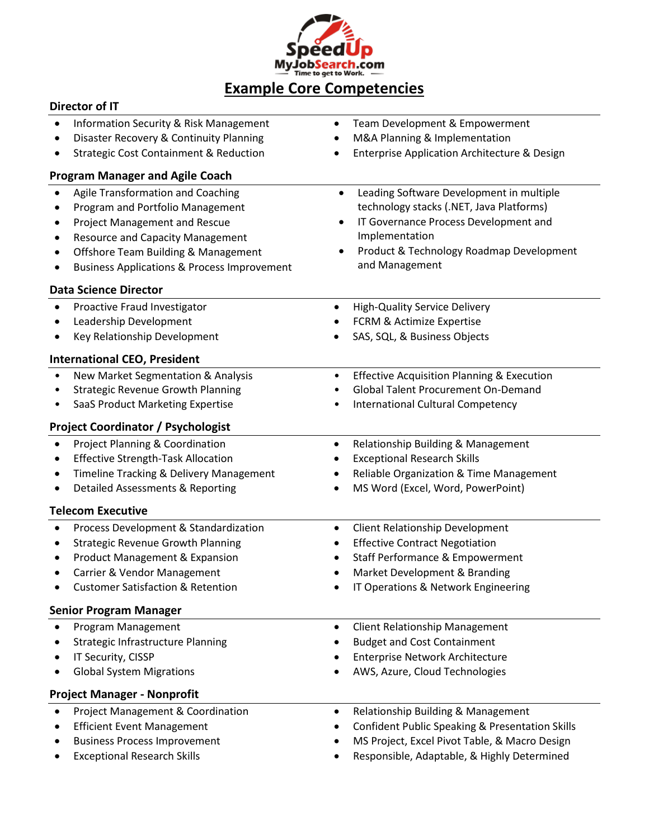

#### **Director of IT**

| $\bullet$ | <b>Information Security &amp; Risk Management</b>      | Team Development & Empowerment<br>٠                        |
|-----------|--------------------------------------------------------|------------------------------------------------------------|
| $\bullet$ | Disaster Recovery & Continuity Planning                | M&A Planning & Implementation                              |
|           | <b>Strategic Cost Containment &amp; Reduction</b>      | Enterprise Application Architecture & Design               |
|           | <b>Program Manager and Agile Coach</b>                 |                                                            |
| $\bullet$ | Agile Transformation and Coaching                      | Leading Software Development in multiple<br>$\bullet$      |
| ٠         | Program and Portfolio Management                       | technology stacks (.NET, Java Platforms)                   |
| ٠         | <b>Project Management and Rescue</b>                   | IT Governance Process Development and<br>٠                 |
|           | <b>Resource and Capacity Management</b>                | Implementation                                             |
| ٠         | Offshore Team Building & Management                    | Product & Technology Roadmap Development                   |
| ٠         | <b>Business Applications &amp; Process Improvement</b> | and Management                                             |
|           | <b>Data Science Director</b>                           |                                                            |
| $\bullet$ | Proactive Fraud Investigator                           | <b>High-Quality Service Delivery</b><br>$\bullet$          |
|           | Leadership Development                                 | FCRM & Actimize Expertise                                  |
|           | Key Relationship Development                           | SAS, SQL, & Business Objects                               |
|           | <b>International CEO, President</b>                    |                                                            |
| $\bullet$ | New Market Segmentation & Analysis                     | <b>Effective Acquisition Planning &amp; Execution</b><br>٠ |
| $\bullet$ | <b>Strategic Revenue Growth Planning</b>               | <b>Global Talent Procurement On-Demand</b>                 |
|           | SaaS Product Marketing Expertise                       | International Cultural Competency<br>٠                     |
|           | <b>Project Coordinator / Psychologist</b>              |                                                            |
| $\bullet$ | Project Planning & Coordination                        | Relationship Building & Management<br>٠                    |
| $\bullet$ | <b>Effective Strength-Task Allocation</b>              | <b>Exceptional Research Skills</b>                         |
| ٠         | Timeline Tracking & Delivery Management                | Reliable Organization & Time Management<br>٠               |
|           | Detailed Assessments & Reporting                       | MS Word (Excel, Word, PowerPoint)                          |
|           | <b>Telecom Executive</b>                               |                                                            |
| $\bullet$ | Process Development & Standardization                  | <b>Client Relationship Development</b><br>٠                |
| ٠         | <b>Strategic Revenue Growth Planning</b>               | <b>Effective Contract Negotiation</b><br>٠                 |
| ٠         | Product Management & Expansion                         | Staff Performance & Empowerment                            |
|           | Carrier & Vendor Management                            | Market Development & Branding                              |
|           | <b>Customer Satisfaction &amp; Retention</b>           | IT Operations & Network Engineering                        |
|           | <b>Senior Program Manager</b>                          |                                                            |
| $\bullet$ | Program Management                                     | <b>Client Relationship Management</b><br>$\bullet$         |
|           | <b>Strategic Infrastructure Planning</b>               | <b>Budget and Cost Containment</b>                         |
|           | IT Security, CISSP                                     | Enterprise Network Architecture                            |
|           | <b>Global System Migrations</b>                        | AWS, Azure, Cloud Technologies                             |
|           | <b>Project Manager - Nonprofit</b>                     |                                                            |
|           | Project Management & Coordination                      | Relationship Building & Management<br>$\bullet$            |
|           | <b>Efficient Event Management</b>                      | <b>Confident Public Speaking &amp; Presentation Skills</b> |
|           | <b>Business Process Improvement</b>                    | MS Project, Excel Pivot Table, & Macro Design              |
|           | <b>Exceptional Research Skills</b>                     | Responsible, Adaptable, & Highly Determined                |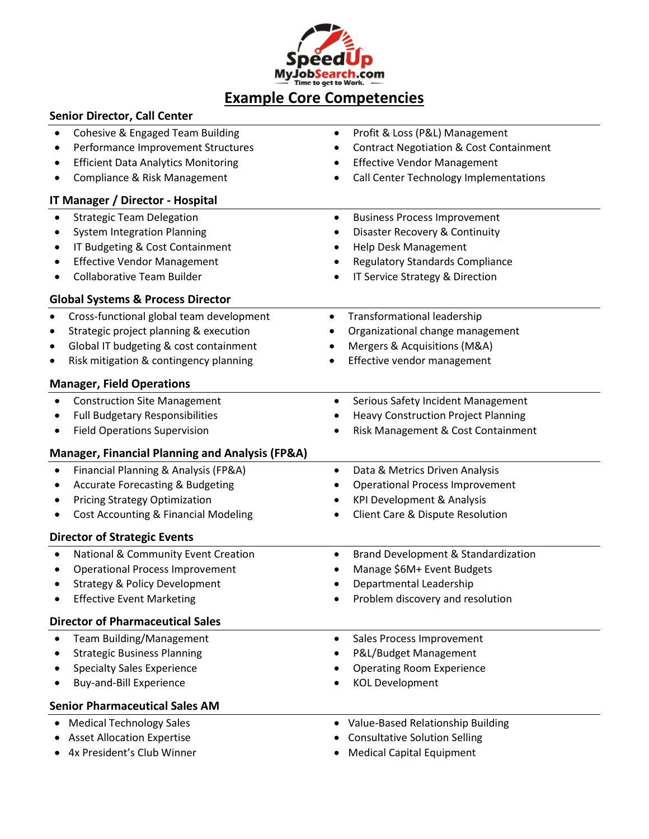

| <b>Senior Director, Call Center</b>                                                                                                                                                                                                                            |                                                                                                                                                                                         |
|----------------------------------------------------------------------------------------------------------------------------------------------------------------------------------------------------------------------------------------------------------------|-----------------------------------------------------------------------------------------------------------------------------------------------------------------------------------------|
| Cohesive & Engaged Team Building<br>Performance Improvement Structures<br><b>Efficient Data Analytics Monitoring</b><br>Compliance & Risk Management                                                                                                           | Profit & Loss (P&L) Management<br><b>Contract Negotiation &amp; Cost Containment</b><br><b>Effective Vendor Management</b><br>Call Center Technology Implementations                    |
| <b>IT Manager / Director - Hospital</b>                                                                                                                                                                                                                        |                                                                                                                                                                                         |
| <b>Strategic Team Delegation</b><br><b>System Integration Planning</b><br>IT Budgeting & Cost Containment<br><b>Effective Vendor Management</b><br><b>Collaborative Team Builder</b><br>$\bullet$<br><b>Global Systems &amp; Process Director</b>              | <b>Business Process Improvement</b><br>Disaster Recovery & Continuity<br>$\bullet$<br>Help Desk Management<br><b>Regulatory Standards Compliance</b><br>IT Service Strategy & Direction |
| Cross-functional global team development<br>$\bullet$<br>Strategic project planning & execution<br>$\bullet$<br>Global IT budgeting & cost containment<br>$\bullet$<br>Risk mitigation & contingency planning<br>$\bullet$<br><b>Manager, Field Operations</b> | Transformational leadership<br>$\bullet$<br>Organizational change management<br>Mergers & Acquisitions (M&A)<br>Effective vendor management<br>$\bullet$                                |
| <b>Construction Site Management</b><br><b>Full Budgetary Responsibilities</b><br><b>Field Operations Supervision</b><br>٠<br><b>Manager, Financial Planning and Analysis (FP&amp;A)</b>                                                                        | Serious Safety Incident Management<br>$\bullet$<br><b>Heavy Construction Project Planning</b><br>Risk Management & Cost Containment                                                     |
| Financial Planning & Analysis (FP&A)<br><b>Accurate Forecasting &amp; Budgeting</b><br><b>Pricing Strategy Optimization</b><br><b>Cost Accounting &amp; Financial Modeling</b>                                                                                 | Data & Metrics Driven Analysis<br>$\bullet$<br><b>Operational Process Improvement</b><br><b>KPI Development &amp; Analysis</b><br>Client Care & Dispute Resolution                      |
| <b>Director of Strategic Events</b><br>National & Community Event Creation<br><b>Operational Process Improvement</b><br><b>Strategy &amp; Policy Development</b>                                                                                               | Brand Development & Standardization<br>Manage \$6M+ Event Budgets<br>Departmental Leadership                                                                                            |
| <b>Effective Event Marketing</b><br><b>Director of Pharmaceutical Sales</b>                                                                                                                                                                                    | Problem discovery and resolution                                                                                                                                                        |
| Team Building/Management<br><b>Strategic Business Planning</b><br><b>Specialty Sales Experience</b><br>Buy-and-Bill Experience<br><b>Senior Pharmaceutical Sales AM</b>                                                                                        | Sales Process Improvement<br>$\bullet$<br>P&L/Budget Management<br><b>Operating Room Experience</b><br><b>KOL Development</b>                                                           |
| <b>Medical Technology Sales</b><br><b>Asset Allocation Expertise</b><br>4x President's Club Winner                                                                                                                                                             | Value-Based Relationship Building<br><b>Consultative Solution Selling</b><br><b>Medical Capital Equipment</b>                                                                           |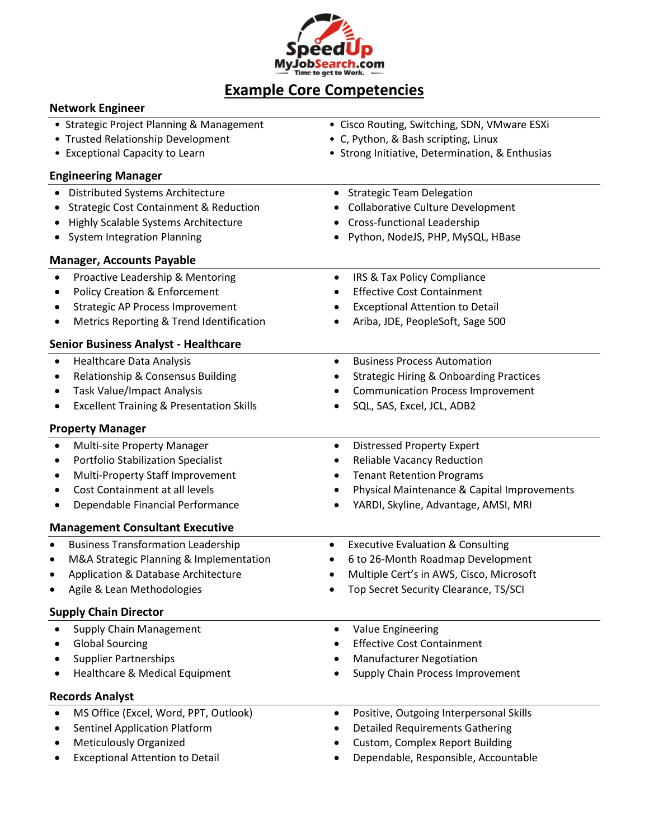

| <b>Network Engineer</b>                                  |                                                           |
|----------------------------------------------------------|-----------------------------------------------------------|
| • Strategic Project Planning & Management                | • Cisco Routing, Switching, SDN, VMware ESXi              |
| • Trusted Relationship Development                       | • C, Python, & Bash scripting, Linux                      |
| • Exceptional Capacity to Learn                          | • Strong Initiative, Determination, & Enthusias           |
| <b>Engineering Manager</b>                               |                                                           |
| Distributed Systems Architecture                         | <b>Strategic Team Delegation</b><br>$\bullet$             |
| <b>Strategic Cost Containment &amp; Reduction</b><br>٠   | <b>Collaborative Culture Development</b>                  |
| Highly Scalable Systems Architecture                     | <b>Cross-functional Leadership</b>                        |
| <b>System Integration Planning</b>                       | Python, NodeJS, PHP, MySQL, HBase                         |
| <b>Manager, Accounts Payable</b>                         |                                                           |
| Proactive Leadership & Mentoring<br>$\bullet$            | IRS & Tax Policy Compliance<br>$\bullet$                  |
| <b>Policy Creation &amp; Enforcement</b><br>٠            | <b>Effective Cost Containment</b>                         |
| <b>Strategic AP Process Improvement</b><br>٠             | <b>Exceptional Attention to Detail</b>                    |
| Metrics Reporting & Trend Identification<br>٠            | Ariba, JDE, PeopleSoft, Sage 500                          |
| <b>Senior Business Analyst - Healthcare</b>              |                                                           |
| <b>Healthcare Data Analysis</b><br>$\bullet$             | <b>Business Process Automation</b><br>$\bullet$           |
| Relationship & Consensus Building<br>٠                   | <b>Strategic Hiring &amp; Onboarding Practices</b>        |
| Task Value/Impact Analysis<br>٠                          | <b>Communication Process Improvement</b>                  |
| <b>Excellent Training &amp; Presentation Skills</b><br>٠ | SQL, SAS, Excel, JCL, ADB2                                |
| <b>Property Manager</b>                                  |                                                           |
| Multi-site Property Manager<br>$\bullet$                 | <b>Distressed Property Expert</b><br>٠                    |
| Portfolio Stabilization Specialist<br>٠                  | <b>Reliable Vacancy Reduction</b><br>٠                    |
| Multi-Property Staff Improvement                         | <b>Tenant Retention Programs</b><br>٠                     |
| Cost Containment at all levels                           | Physical Maintenance & Capital Improvements               |
| Dependable Financial Performance                         | YARDI, Skyline, Advantage, AMSI, MRI                      |
| <b>Management Consultant Executive</b>                   |                                                           |
| <b>Business Transformation Leadership</b><br>$\bullet$   | <b>Executive Evaluation &amp; Consulting</b><br>$\bullet$ |
| M&A Strategic Planning & Implementation<br>$\bullet$     | 6 to 26-Month Roadmap Development                         |
| Application & Database Architecture                      | Multiple Cert's in AWS, Cisco, Microsoft                  |
| Agile & Lean Methodologies<br>٠                          | Top Secret Security Clearance, TS/SCI                     |
| <b>Supply Chain Director</b>                             |                                                           |
| Supply Chain Management<br>$\bullet$                     | Value Engineering<br>٠                                    |
| <b>Global Sourcing</b>                                   | <b>Effective Cost Containment</b>                         |
| <b>Supplier Partnerships</b>                             | <b>Manufacturer Negotiation</b>                           |
| Healthcare & Medical Equipment                           | Supply Chain Process Improvement                          |
| <b>Records Analyst</b>                                   |                                                           |
| MS Office (Excel, Word, PPT, Outlook)                    | Positive, Outgoing Interpersonal Skills<br>٠              |
| <b>Sentinel Application Platform</b>                     | <b>Detailed Requirements Gathering</b>                    |
| <b>Meticulously Organized</b>                            | <b>Custom, Complex Report Building</b>                    |
| <b>Exceptional Attention to Detail</b>                   | Dependable, Responsible, Accountable                      |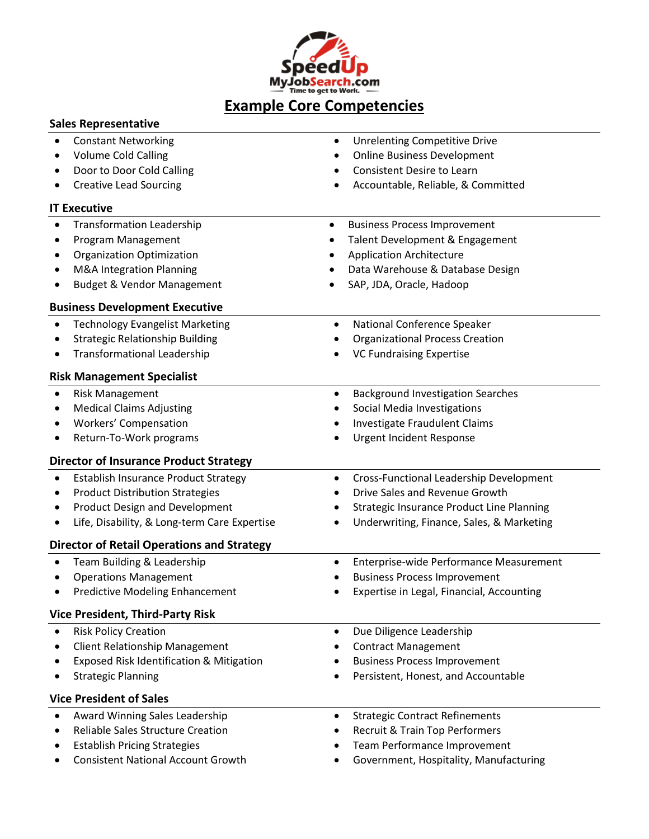

### **Sales Representative**

| <b>Constant Networking</b>                               | <b>Unrelenting Competitive Drive</b>                  |
|----------------------------------------------------------|-------------------------------------------------------|
| <b>Volume Cold Calling</b>                               | <b>Online Business Development</b>                    |
| Door to Door Cold Calling                                | <b>Consistent Desire to Learn</b>                     |
| <b>Creative Lead Sourcing</b>                            | Accountable, Reliable, & Committed                    |
| <b>IT Executive</b>                                      |                                                       |
| <b>Transformation Leadership</b><br>$\bullet$            | <b>Business Process Improvement</b><br>$\bullet$      |
| Program Management<br>$\bullet$                          | Talent Development & Engagement                       |
| <b>Organization Optimization</b>                         | <b>Application Architecture</b>                       |
| M&A Integration Planning                                 | Data Warehouse & Database Design                      |
| <b>Budget &amp; Vendor Management</b>                    | SAP, JDA, Oracle, Hadoop                              |
| <b>Business Development Executive</b>                    |                                                       |
| <b>Technology Evangelist Marketing</b><br>$\bullet$      | National Conference Speaker<br>$\bullet$              |
| <b>Strategic Relationship Building</b>                   | <b>Organizational Process Creation</b>                |
| <b>Transformational Leadership</b><br>٠                  | <b>VC Fundraising Expertise</b>                       |
| <b>Risk Management Specialist</b>                        |                                                       |
| <b>Risk Management</b><br>$\bullet$                      | <b>Background Investigation Searches</b><br>$\bullet$ |
| <b>Medical Claims Adjusting</b>                          | Social Media Investigations                           |
| Workers' Compensation                                    | Investigate Fraudulent Claims                         |
| Return-To-Work programs<br>٠                             | <b>Urgent Incident Response</b>                       |
| <b>Director of Insurance Product Strategy</b>            |                                                       |
| <b>Establish Insurance Product Strategy</b><br>$\bullet$ | Cross-Functional Leadership Development<br>$\bullet$  |
| <b>Product Distribution Strategies</b><br>٠              | Drive Sales and Revenue Growth<br>$\bullet$           |
| <b>Product Design and Development</b>                    | <b>Strategic Insurance Product Line Planning</b>      |
| Life, Disability, & Long-term Care Expertise             | Underwriting, Finance, Sales, & Marketing             |
| <b>Director of Retail Operations and Strategy</b>        |                                                       |
| Team Building & Leadership<br>$\bullet$                  | Enterprise-wide Performance Measurement<br>$\bullet$  |
| <b>Operations Management</b><br>٠                        | <b>Business Process Improvement</b>                   |
| <b>Predictive Modeling Enhancement</b>                   | Expertise in Legal, Financial, Accounting             |
| <b>Vice President, Third-Party Risk</b>                  |                                                       |
| <b>Risk Policy Creation</b>                              | Due Diligence Leadership<br>$\bullet$                 |
| <b>Client Relationship Management</b>                    | <b>Contract Management</b><br>٠                       |
| Exposed Risk Identification & Mitigation                 | <b>Business Process Improvement</b>                   |
| <b>Strategic Planning</b>                                | Persistent, Honest, and Accountable                   |
| <b>Vice President of Sales</b>                           |                                                       |
| Award Winning Sales Leadership<br>$\bullet$              | <b>Strategic Contract Refinements</b><br>$\bullet$    |
| Reliable Sales Structure Creation<br>٠                   | <b>Recruit &amp; Train Top Performers</b>             |
| <b>Establish Pricing Strategies</b>                      | Team Performance Improvement                          |
| <b>Consistent National Account Growth</b>                | Government, Hospitality, Manufacturing                |